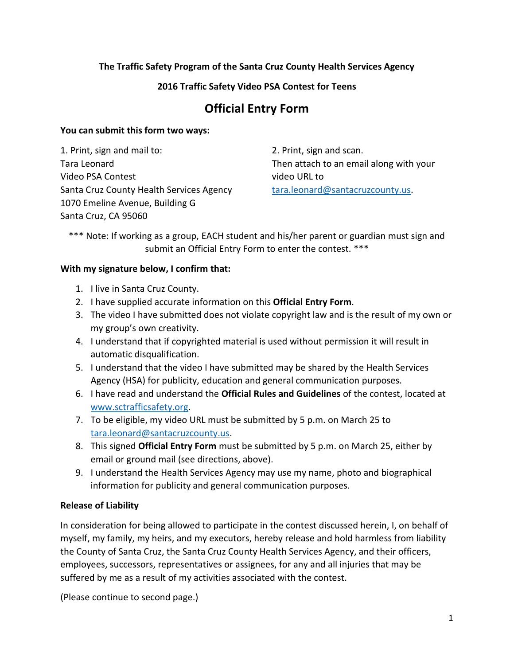# **The Traffic Safety Program of the Santa Cruz County Health Services Agency**

# **2016 Traffic Safety Video PSA Contest for Teens**

# **Official Entry Form**

## **You can submit this form two ways:**

1. Print, sign and mail to: Tara Leonard Video PSA Contest Santa Cruz County Health Services Agency 1070 Emeline Avenue, Building G Santa Cruz, CA 95060

2. Print, sign and scan. Then attach to an email along with your video URL to [tara.leonard@santacruzcounty.us.](mailto:tara.leonard@santacruzcounty.us)

\*\*\* Note: If working as a group, EACH student and his/her parent or guardian must sign and submit an Official Entry Form to enter the contest. \*\*\*

## **With my signature below, I confirm that:**

- 1. I live in Santa Cruz County.
- 2. I have supplied accurate information on this **Official Entry Form**.
- 3. The video I have submitted does not violate copyright law and is the result of my own or my group's own creativity.
- 4. I understand that if copyrighted material is used without permission it will result in automatic disqualification.
- 5. I understand that the video I have submitted may be shared by the Health Services Agency (HSA) for publicity, education and general communication purposes.
- 6. I have read and understand the **Official Rules and Guidelines** of the contest, located at [www.sctrafficsafety.org.](http://www.sctrafficsafety.org/)
- 7. To be eligible, my video URL must be submitted by 5 p.m. on March 25 to [tara.leonard@santacruzcounty.us.](mailto:tara.leonard@santacruzcounty.us)
- 8. This signed **Official Entry Form** must be submitted by 5 p.m. on March 25, either by email or ground mail (see directions, above).
- 9. I understand the Health Services Agency may use my name, photo and biographical information for publicity and general communication purposes.

## **Release of Liability**

In consideration for being allowed to participate in the contest discussed herein, I, on behalf of myself, my family, my heirs, and my executors, hereby release and hold harmless from liability the County of Santa Cruz, the Santa Cruz County Health Services Agency, and their officers, employees, successors, representatives or assignees, for any and all injuries that may be suffered by me as a result of my activities associated with the contest.

(Please continue to second page.)